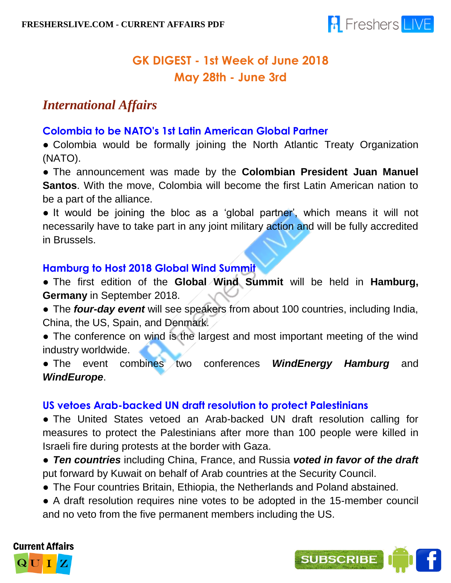

# **GK DIGEST - 1st Week of June 2018 May 28th - June 3rd**

# *International Affairs*

## **Colombia to be NATO's 1st Latin American Global Partner**

• Colombia would be formally joining the North Atlantic Treaty Organization (NATO).

● The announcement was made by the **Colombian President Juan Manuel Santos**. With the move, Colombia will become the first Latin American nation to be a part of the alliance.

• It would be joining the bloc as a 'global partner', which means it will not necessarily have to take part in any joint military action and will be fully accredited in Brussels.

## **Hamburg to Host 2018 Global Wind Summit**

● The first edition of the **Global Wind Summit** will be held in **Hamburg, Germany** in September 2018.

● The *four-day event* will see speakers from about 100 countries, including India, China, the US, Spain, and Denmark.

• The conference on wind is the largest and most important meeting of the wind industry worldwide.

● The event combines two conferences *WindEnergy Hamburg* and *WindEurope*.

## **US vetoes Arab-backed UN draft resolution to protect Palestinians**

• The United States vetoed an Arab-backed UN draft resolution calling for measures to protect the Palestinians after more than 100 people were killed in Israeli fire during protests at the border with Gaza.

● *Ten countries* including China, France, and Russia *voted in favor of the draft* put forward by Kuwait on behalf of Arab countries at the Security Council.

- The Four countries Britain, Ethiopia, the Netherlands and Poland abstained.
- A draft resolution requires nine votes to be adopted in the 15-member council and no veto from the five permanent members including the US.



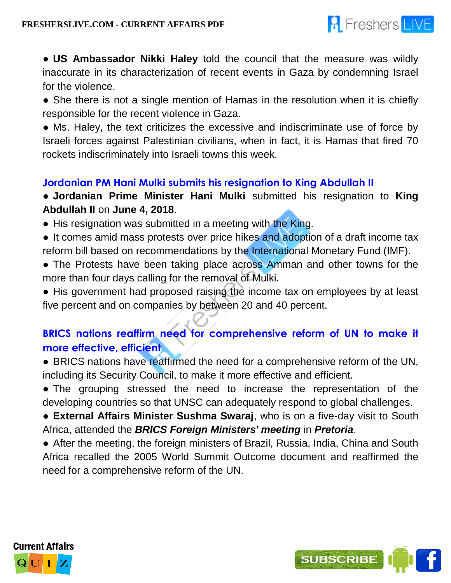

● **US Ambassador Nikki Haley** told the council that the measure was wildly inaccurate in its characterization of recent events in Gaza by condemning Israel for the violence.

• She there is not a single mention of Hamas in the resolution when it is chiefly responsible for the recent violence in Gaza.

● Ms. Haley, the text criticizes the excessive and indiscriminate use of force by Israeli forces against Palestinian civilians, when in fact, it is Hamas that fired 70 rockets indiscriminately into Israeli towns this week.

## **Jordanian PM Hani Mulki submits his resignation to King Abdullah II**

● **Jordanian Prime Minister Hani Mulki** submitted his resignation to **King Abdullah II** on **June 4, 2018**.

- His resignation was submitted in a meeting with the King.
- It comes amid mass protests over price hikes and adoption of a draft income tax reform bill based on recommendations by the International Monetary Fund (IMF).
- The Protests have been taking place across Amman and other towns for the more than four days calling for the removal of Mulki.

• His government had proposed raising the income tax on employees by at least five percent and on companies by between 20 and 40 percent.

## **BRICS nations reaffirm need for comprehensive reform of UN to make it more effective, efficient**

• BRICS nations have reaffirmed the need for a comprehensive reform of the UN, including its Security Council, to make it more effective and efficient.

• The grouping stressed the need to increase the representation of the developing countries so that UNSC can adequately respond to global challenges.

● **External Affairs Minister Sushma Swaraj**, who is on a five-day visit to South Africa, attended the *BRICS Foreign Ministers' meeting* in *Pretoria*.

• After the meeting, the foreign ministers of Brazil, Russia, India, China and South Africa recalled the 2005 World Summit Outcome document and reaffirmed the need for a comprehensive reform of the UN.



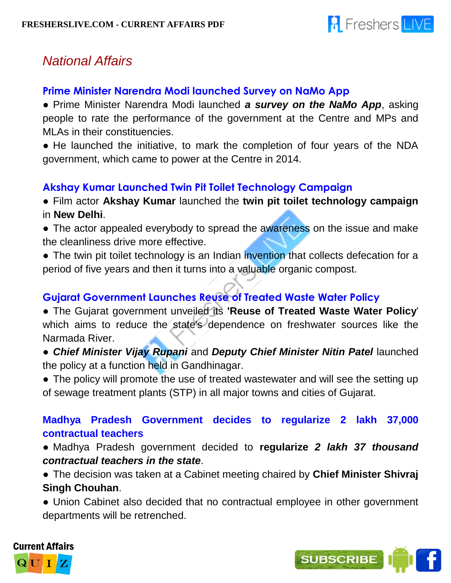

# *National Affairs*

## **Prime Minister Narendra Modi launched Survey on NaMo App**

● Prime Minister Narendra Modi launched *a survey on the NaMo App*, asking people to rate the performance of the government at the Centre and MPs and MLAs in their constituencies.

• He launched the initiative, to mark the completion of four years of the NDA government, which came to power at the Centre in 2014.

## **Akshay Kumar Launched Twin Pit Toilet Technology Campaign**

● Film actor **Akshay Kumar** launched the **twin pit toilet technology campaign** in **New Delhi**.

- The actor appealed everybody to spread the awareness on the issue and make the cleanliness drive more effective.
- The twin pit toilet technology is an Indian invention that collects defecation for a period of five years and then it turns into a valuable organic compost.

## **Gujarat Government Launches Reuse of Treated Waste Water Policy**

● The Gujarat government unveiled its **'Reuse of Treated Waste Water Policy**' which aims to reduce the state's dependence on freshwater sources like the Narmada River.

● *Chief Minister Vijay Rupani* and *Deputy Chief Minister Nitin Patel* launched the policy at a function held in Gandhinagar.

• The policy will promote the use of treated wastewater and will see the setting up of sewage treatment plants (STP) in all major towns and cities of Gujarat.

## **Madhya Pradesh Government decides to regularize 2 lakh 37,000 contractual teachers**

● Madhya Pradesh government decided to **regularize** *2 lakh 37 thousand contractual teachers in the state*.

● The decision was taken at a Cabinet meeting chaired by **Chief Minister Shivraj Singh Chouhan**.

• Union Cabinet also decided that no contractual employee in other government departments will be retrenched.



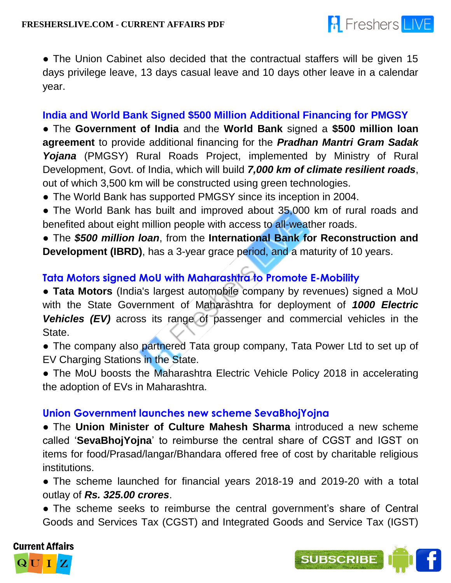

• The Union Cabinet also decided that the contractual staffers will be given 15 days privilege leave, 13 days casual leave and 10 days other leave in a calendar year.

#### **India and World Bank Signed \$500 Million Additional Financing for PMGSY**

● The **Government of India** and the **World Bank** signed a **\$500 million loan agreement** to provide additional financing for the *Pradhan Mantri Gram Sadak Yojana* (PMGSY) Rural Roads Project, implemented by Ministry of Rural Development, Govt. of India, which will build *7,000 km of climate resilient roads*, out of which 3,500 km will be constructed using green technologies.

- The World Bank has supported PMGSY since its inception in 2004.
- The World Bank has built and improved about 35,000 km of rural roads and benefited about eight million people with access to all-weather roads.

● The *\$500 million loan*, from the **International Bank for Reconstruction and Development (IBRD)**, has a 3-year grace period, and a maturity of 10 years.

## **Tata Motors signed MoU with Maharashtra to Promote E-Mobility**

● **Tata Motors** (India's largest automobile company by revenues) signed a MoU with the State Government of Maharashtra for deployment of *1000 Electric*  **Vehicles (EV)** across its range of passenger and commercial vehicles in the State.

- The company also partnered Tata group company, Tata Power Ltd to set up of EV Charging Stations in the State.
- The MoU boosts the Maharashtra Electric Vehicle Policy 2018 in accelerating the adoption of EVs in Maharashtra.

#### **Union Government launches new scheme SevaBhojYojna**

● The **Union Minister of Culture Mahesh Sharma** introduced a new scheme called '**SevaBhojYojna**' to reimburse the central share of CGST and IGST on items for food/Prasad/langar/Bhandara offered free of cost by charitable religious institutions.

• The scheme launched for financial years 2018-19 and 2019-20 with a total outlay of *Rs. 325.00 crores*.

• The scheme seeks to reimburse the central government's share of Central Goods and Services Tax (CGST) and Integrated Goods and Service Tax (IGST)



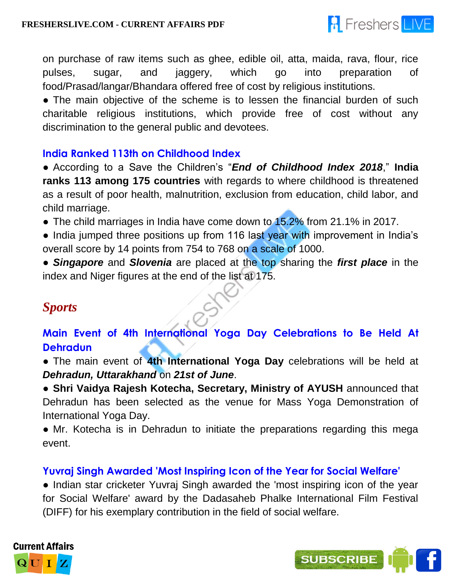

on purchase of raw items such as ghee, edible oil, atta, maida, rava, flour, rice pulses, sugar, and jaggery, which go into preparation of food/Prasad/langar/Bhandara offered free of cost by religious institutions.

• The main objective of the scheme is to lessen the financial burden of such charitable religious institutions, which provide free of cost without any discrimination to the general public and devotees.

#### **India Ranked 113th on Childhood Index**

● According to a Save the Children's "*End of Childhood Index 2018*," **India ranks 113 among 175 countries** with regards to where childhood is threatened as a result of poor health, malnutrition, exclusion from education, child labor, and child marriage.

• The child marriages in India have come down to 15.2% from 21.1% in 2017.

• India jumped three positions up from 116 last year with improvement in India's overall score by 14 points from 754 to 768 on a scale of 1000.

● *Singapore* and *Slovenia* are placed at the top sharing the *first place* in the index and Niger figures at the end of the list at 175.

## *Sports*

**Main Event of 4th International Yoga Day Celebrations to Be Held At Dehradun**

● The main event of **4th International Yoga Day** celebrations will be held at *Dehradun, Uttarakhand* on *21st of June*.

● **Shri Vaidya Rajesh Kotecha, Secretary, Ministry of AYUSH** announced that Dehradun has been selected as the venue for Mass Yoga Demonstration of International Yoga Day.

• Mr. Kotecha is in Dehradun to initiate the preparations regarding this mega event.

## **Yuvraj Singh Awarded 'Most Inspiring Icon of the Year for Social Welfare'**

● Indian star cricketer Yuvraj Singh awarded the 'most inspiring icon of the year for Social Welfare' award by the Dadasaheb Phalke International Film Festival (DIFF) for his exemplary contribution in the field of social welfare.



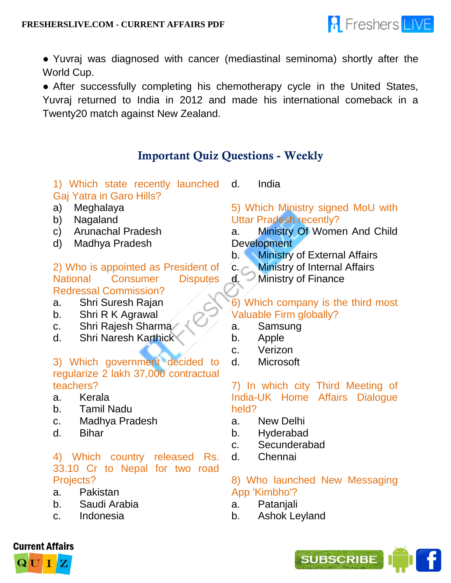

● Yuvraj was diagnosed with cancer (mediastinal seminoma) shortly after the World Cup.

• After successfully completing his chemotherapy cycle in the United States, Yuvraj returned to India in 2012 and made his international comeback in a Twenty20 match against New Zealand.

## **Important Quiz Questions - Weekly**

1) Which state recently launched Gaj Yatra in Garo Hills?

d. India

- a) Meghalaya
- b) Nagaland
- c) Arunachal Pradesh
- d) Madhya Pradesh

2) Who is appointed as President of National Consumer Disputes Redressal Commission?

- a. Shri Suresh Rajan
- b. Shri R K Agrawal
- c. Shri Rajesh Sharma
- d. Shri Naresh Karthick

#### 3) Which government decided to regularize 2 lakh 37,000 contractual teachers?

- a. Kerala
- b. Tamil Nadu
- c. Madhya Pradesh
- d. Bihar

#### 4) Which country released Rs. 33.10 Cr to Nepal for two road Projects?

- a. Pakistan
- b. Saudi Arabia
- c. Indonesia

## 5) Which Ministry signed MoU with Uttar Pradesh recently?

- a. Ministry Of Women And Child **Development**
- b. Ministry of External Affairs
- c. Ministry of Internal Affairs
- d. Ministry of Finance

6) Which company is the third most Valuable Firm globally?

- a. Samsung
- b. Apple
- c. Verizon
- d. Microsoft

7) In which city Third Meeting of India-UK Home Affairs Dialogue held?

- a. New Delhi
- b. Hyderabad
- c. Secunderabad
- d. Chennai

#### 8) Who launched New Messaging App 'Kimbho'?

- a. Patanjali
- b. Ashok Leyland



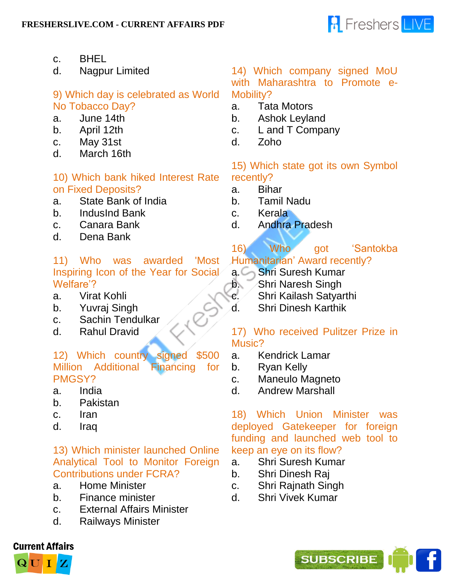

- c. BHEL
- d. Nagpur Limited

## 9) Which day is celebrated as World No Tobacco Day?

- a. June 14th
- b. April 12th
- c. May 31st
- d. March 16th

#### 10) Which bank hiked Interest Rate on Fixed Deposits?

- a. State Bank of India
- b. IndusInd Bank
- c. Canara Bank
- d. Dena Bank

#### 11) Who was awarded 'Most Inspiring Icon of the Year for Social Welfare'?

- a. Virat Kohli
- b. Yuvraj Singh
- c. Sachin Tendulkar
- d. Rahul Dravid

#### 12) Which country signed \$500 Million Additional Financing for PMGSY?

- a. India
- b. Pakistan
- c. Iran
- d. Iraq

#### 13) Which minister launched Online Analytical Tool to Monitor Foreign Contributions under FCRA?

- a. Home Minister
- b. Finance minister
- c. External Affairs Minister
- d. Railways Minister

#### 14) Which company signed MoU with Maharashtra to Promote e-

Mobility?

- a. Tata Motors
- b. Ashok Leyland
- c. L and T Company
- d. Zoho

#### 15) Which state got its own Symbol recently?

- a. Bihar
- b. Tamil Nadu
- c. Kerala
- d. Andhra Pradesh
- 16) Who got 'Santokba Humanitarian' Award recently?
- a. Shri Suresh Kumar
- **b.** Shri Naresh Singh
- c. Shri Kailash Satyarthi
- d. Shri Dinesh Karthik

#### 17) Who received Pulitzer Prize in Music?

- a. Kendrick Lamar
- b. Ryan Kelly
- c. Maneulo Magneto
- d. Andrew Marshall

18) Which Union Minister was deployed Gatekeeper for foreign funding and launched web tool to keep an eye on its flow?

- a. Shri Suresh Kumar
- b. Shri Dinesh Raj
- c. Shri Rajnath Singh
- d. Shri Vivek Kumar